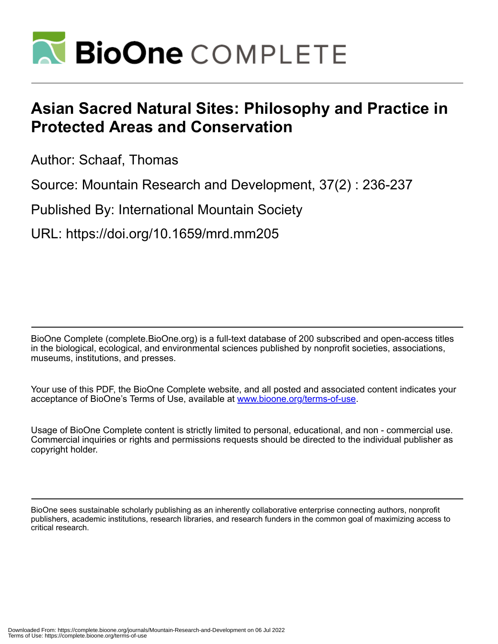

## **Asian Sacred Natural Sites: Philosophy and Practice in Protected Areas and Conservation**

Author: Schaaf, Thomas

Source: Mountain Research and Development, 37(2) : 236-237

Published By: International Mountain Society

URL: https://doi.org/10.1659/mrd.mm205

BioOne Complete (complete.BioOne.org) is a full-text database of 200 subscribed and open-access titles in the biological, ecological, and environmental sciences published by nonprofit societies, associations, museums, institutions, and presses.

Your use of this PDF, the BioOne Complete website, and all posted and associated content indicates your acceptance of BioOne's Terms of Use, available at www.bioone.org/terms-of-use.

Usage of BioOne Complete content is strictly limited to personal, educational, and non - commercial use. Commercial inquiries or rights and permissions requests should be directed to the individual publisher as copyright holder.

BioOne sees sustainable scholarly publishing as an inherently collaborative enterprise connecting authors, nonprofit publishers, academic institutions, research libraries, and research funders in the common goal of maximizing access to critical research.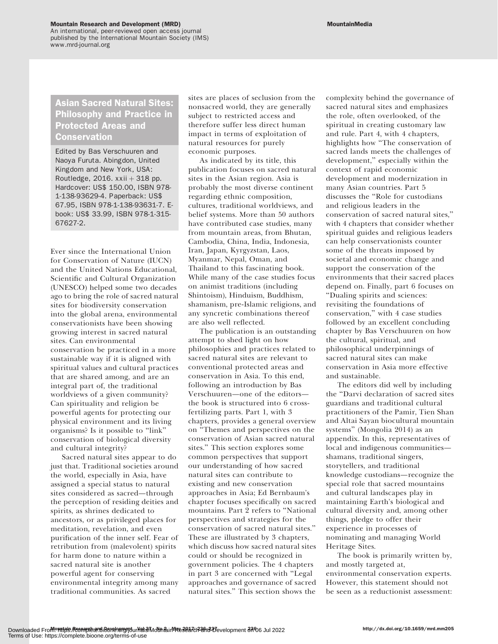An international, peer-reviewed open access journal published by the International Mountain Society (IMS) www.mrd-journal.org

## Asian Sacred Natural Sites: Philosophy and Practice in Protected Areas and Conservation

Edited by Bas Verschuuren and Naoya Furuta. Abingdon, United Kingdom and New York, USA: Routledge, 2016.  $xxii + 318$  pp. Hardcover: US\$ 150.00, ISBN 978- 1-138-93629-4. Paperback: US\$ 67.95, ISBN 978-1-138-93631-7. Ebook: US\$ 33.99, ISBN 978-1-315- 67627-2.

Ever since the International Union for Conservation of Nature (IUCN) and the United Nations Educational, Scientific and Cultural Organization (UNESCO) helped some two decades ago to bring the role of sacred natural sites for biodiversity conservation into the global arena, environmental conservationists have been showing growing interest in sacred natural sites. Can environmental conservation be practiced in a more sustainable way if it is aligned with spiritual values and cultural practices that are shared among, and are an integral part of, the traditional worldviews of a given community? Can spirituality and religion be powerful agents for protecting our physical environment and its living organisms? Is it possible to ''link'' conservation of biological diversity and cultural integrity?

Sacred natural sites appear to do just that. Traditional societies around the world, especially in Asia, have assigned a special status to natural sites considered as sacred—through the perception of residing deities and spirits, as shrines dedicated to ancestors, or as privileged places for meditation, revelation, and even purification of the inner self. Fear of retribution from (malevolent) spirits for harm done to nature within a sacred natural site is another powerful agent for conserving environmental integrity among many traditional communities. As sacred

sites are places of seclusion from the nonsacred world, they are generally subject to restricted access and therefore suffer less direct human impact in terms of exploitation of natural resources for purely economic purposes.

As indicated by its title, this publication focuses on sacred natural sites in the Asian region. Asia is probably the most diverse continent regarding ethnic composition, cultures, traditional worldviews, and belief systems. More than 50 authors have contributed case studies, many from mountain areas, from Bhutan, Cambodia, China, India, Indonesia, Iran, Japan, Kyrgyzstan, Laos, Myanmar, Nepal, Oman, and Thailand to this fascinating book. While many of the case studies focus on animist traditions (including Shintoism), Hinduism, Buddhism, shamanism, pre-Islamic religions, and any syncretic combinations thereof are also well reflected.

The publication is an outstanding attempt to shed light on how philosophies and practices related to sacred natural sites are relevant to conventional protected areas and conservation in Asia. To this end, following an introduction by Bas Verschuuren—one of the editors the book is structured into 6 crossfertilizing parts. Part 1, with 3 chapters, provides a general overview on ''Themes and perspectives on the conservation of Asian sacred natural sites.'' This section explores some common perspectives that support our understanding of how sacred natural sites can contribute to existing and new conservation approaches in Asia; Ed Bernbaum's chapter focuses specifically on sacred mountains. Part 2 refers to ''National perspectives and strategies for the conservation of sacred natural sites.'' These are illustrated by 3 chapters, which discuss how sacred natural sites could or should be recognized in government policies. The 4 chapters in part 3 are concerned with ''Legal approaches and governance of sacred natural sites.'' This section shows the

complexity behind the governance of sacred natural sites and emphasizes the role, often overlooked, of the spiritual in creating customary law and rule. Part 4, with 4 chapters, highlights how ''The conservation of sacred lands meets the challenges of development,'' especially within the context of rapid economic development and modernization in many Asian countries. Part 5 discusses the ''Role for custodians and religious leaders in the conservation of sacred natural sites,'' with 4 chapters that consider whether spiritual guides and religious leaders can help conservationists counter some of the threats imposed by societal and economic change and support the conservation of the environments that their sacred places depend on. Finally, part 6 focuses on ''Dualing spirits and sciences: revisiting the foundations of conservation,'' with 4 case studies followed by an excellent concluding chapter by Bas Verschuuren on how the cultural, spiritual, and philosophical underpinnings of sacred natural sites can make conservation in Asia more effective and sustainable.

The editors did well by including the ''Darvi declaration of sacred sites guardians and traditional cultural practitioners of the Pamir, Tien Shan and Altai Sayan biocultural mountain systems'' (Mongolia 2014) as an appendix. In this, representatives of local and indigenous communities shamans, traditional singers, storytellers, and traditional knowledge custodians—recognize the special role that sacred mountains and cultural landscapes play in maintaining Earth's biological and cultural diversity and, among other things, pledge to offer their experience in processes of nominating and managing World Heritage Sites.

The book is primarily written by, and mostly targeted at, environmental conservation experts. However, this statement should not be seen as a reductionist assessment: